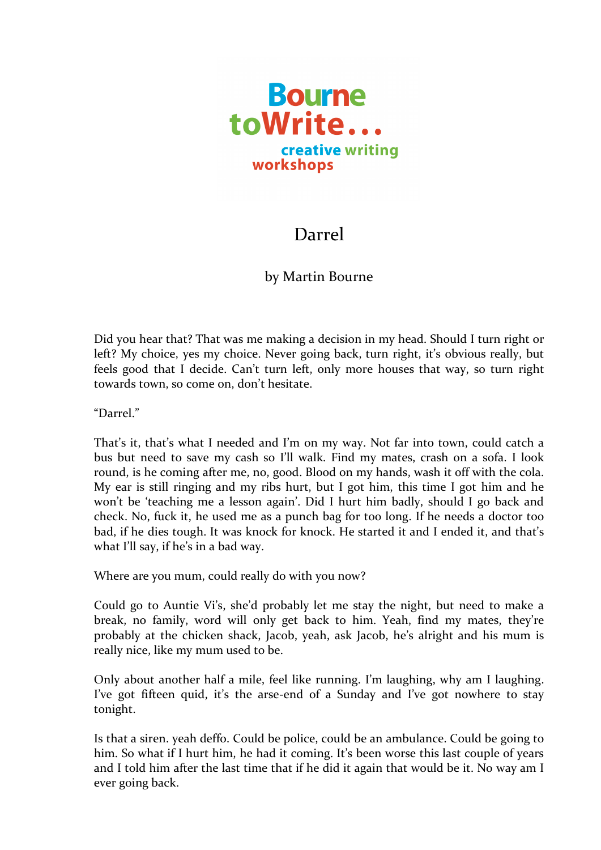

## Darrel

## by Martin Bourne

Did you hear that? That was me making a decision in my head. Should I turn right or left? My choice, yes my choice. Never going back, turn right, it's obvious really, but feels good that I decide. Can't turn left, only more houses that way, so turn right towards town, so come on, don't hesitate.

"Darrel."

That's it, that's what I needed and I'm on my way. Not far into town, could catch a bus but need to save my cash so I'll walk. Find my mates, crash on a sofa. I look round, is he coming after me, no, good. Blood on my hands, wash it off with the cola. My ear is still ringing and my ribs hurt, but I got him, this time I got him and he won't be 'teaching me a lesson again'. Did I hurt him badly, should I go back and check. No, fuck it, he used me as a punch bag for too long. If he needs a doctor too bad, if he dies tough. It was knock for knock. He started it and I ended it, and that's what I'll say, if he's in a bad way.

Where are you mum, could really do with you now?

Could go to Auntie Vi's, she'd probably let me stay the night, but need to make a break, no family, word will only get back to him. Yeah, find my mates, they're probably at the chicken shack, Jacob, yeah, ask Jacob, he's alright and his mum is really nice, like my mum used to be.

Only about another half a mile, feel like running. I'm laughing, why am I laughing. I've got fifteen quid, it's the arse-end of a Sunday and I've got nowhere to stay tonight.

Is that a siren. yeah deffo. Could be police, could be an ambulance. Could be going to him. So what if I hurt him, he had it coming. It's been worse this last couple of years and I told him after the last time that if he did it again that would be it. No way am I ever going back.